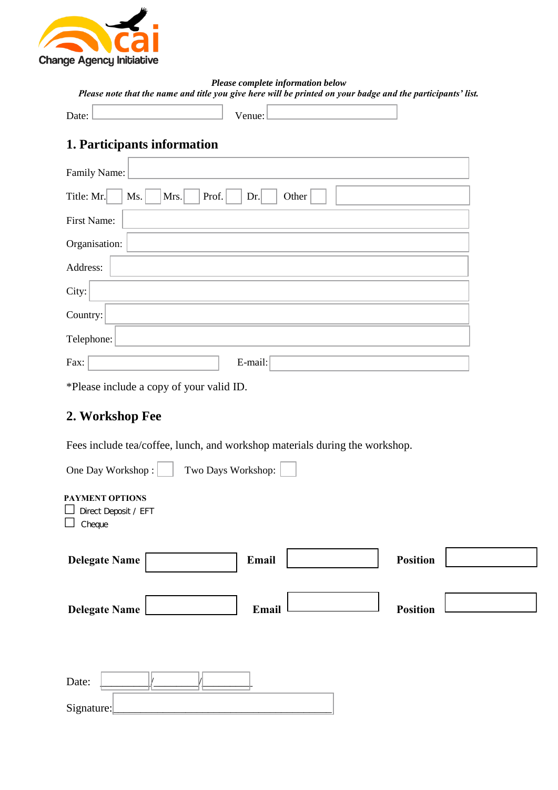

*Please complete information below Please note that the name and title you give here will be printed on your badge and the participants' list.*

| . э |  |
|-----|--|
|     |  |

Venue:

# **1. Participants information**

| Family Name:                                       |
|----------------------------------------------------|
| Prof.<br>Title: Mr.<br>Mrs.<br>Other<br>Ms.<br>Dr. |
| First Name:                                        |
| Organisation:                                      |
| Address:                                           |
| City:                                              |
| Country:                                           |
| Telephone:                                         |
| E-mail:<br>Fax:                                    |

\*Please include a copy of your valid ID.

# **2. Workshop Fee**

Fees include tea/coffee, lunch, and workshop materials during the workshop.

| One Day Workshop:                                 | Two Days Workshop: |       |                 |  |
|---------------------------------------------------|--------------------|-------|-----------------|--|
| PAYMENT OPTIONS<br>Direct Deposit / EFT<br>Cheque |                    |       |                 |  |
| <b>Delegate Name</b>                              |                    | Email | <b>Position</b> |  |
| <b>Delegate Name</b>                              |                    | Email | <b>Position</b> |  |
| Date:<br>Signature:                               |                    |       |                 |  |